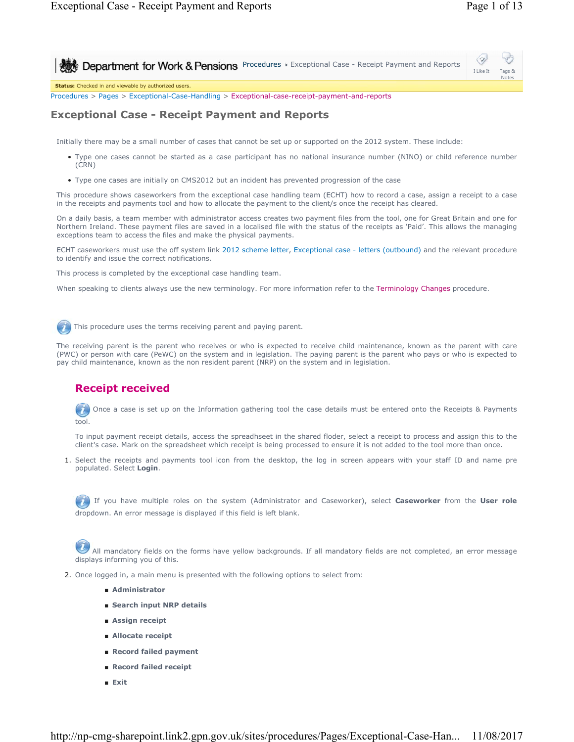Notes

⇔ **Procedures > Exceptional Case - Receipt Payment and Reports** I Like It Tags &

**Status:** Checked in and viewable by authorized users.

Procedures > Pages > Exceptional-Case-Handling > Exceptional-case-receipt-payment-and-reports

# **Exceptional Case - Receipt Payment and Reports**

Initially there may be a small number of cases that cannot be set up or supported on the 2012 system. These include:

- Type one cases cannot be started as a case participant has no national insurance number (NINO) or child reference number (CRN)
- Type one cases are initially on CMS2012 but an incident has prevented progression of the case

This procedure shows caseworkers from the exceptional case handling team (ECHT) how to record a case, assign a receipt to a case in the receipts and payments tool and how to allocate the payment to the client/s once the receipt has cleared.

On a daily basis, a team member with administrator access creates two payment files from the tool, one for Great Britain and one for Northern Ireland. These payment files are saved in a localised file with the status of the receipts as 'Paid'. This allows the managing exceptions team to access the files and make the physical payments.

ECHT caseworkers must use the off system link 2012 scheme letter, Exceptional case - letters (outbound) and the relevant procedure to identify and issue the correct notifications.

This process is completed by the exceptional case handling team.

When speaking to clients always use the new terminology. For more information refer to the Terminology Changes procedure.

This procedure uses the terms receiving parent and paying parent.

The receiving parent is the parent who receives or who is expected to receive child maintenance, known as the parent with care (PWC) or person with care (PeWC) on the system and in legislation. The paying parent is the parent who pays or who is expected to pay child maintenance, known as the non resident parent (NRP) on the system and in legislation.

# **Receipt received**

Once a case is set up on the Information gathering tool the case details must be entered onto the Receipts & Payments  $\overline{U}$ tool.

To input payment receipt details, access the spreadhseet in the shared floder, select a receipt to process and assign this to the client's case. Mark on the spreadsheet which receipt is being processed to ensure it is not added to the tool more than once.

1. Select the receipts and payments tool icon from the desktop, the log in screen appears with your staff ID and name pre populated. Select **Login**.

If you have multiple roles on the system (Administrator and Caseworker), select **Caseworker** from the **User role** dropdown. An error message is displayed if this field is left blank.

 All mandatory fields on the forms have yellow backgrounds. If all mandatory fields are not completed, an error message displays informing you of this.

- 2. Once logged in, a main menu is presented with the following options to select from:
	- **Administrator**
	- Search input NRP details
	- **Assign receipt**
	- **Allocate receipt**
	- **Record failed payment**
	- **Record failed receipt**
	- **Exit**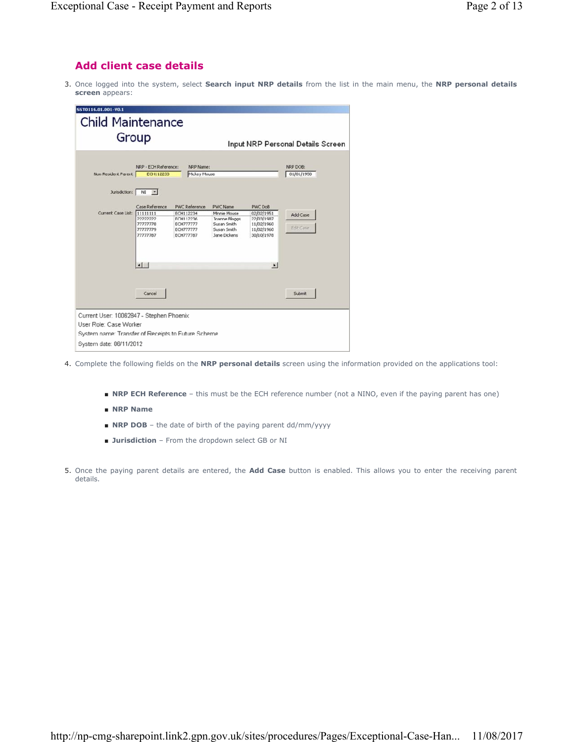# **Add client case details**

3. Once logged into the system, select **Search input NRP details** from the list in the main menu, the NRP personal details **screen** appears:

| SST0116.01.001-V0.1                                                           |                                                                                          |                                                                                                     |                                                                                                |                                                                                                               |                                   |
|-------------------------------------------------------------------------------|------------------------------------------------------------------------------------------|-----------------------------------------------------------------------------------------------------|------------------------------------------------------------------------------------------------|---------------------------------------------------------------------------------------------------------------|-----------------------------------|
| <b>Child Maintenance</b><br>Group                                             |                                                                                          |                                                                                                     |                                                                                                |                                                                                                               | Input NRP Personal Details Screen |
| Non Resident Parent<br>Jurisdiction: NI                                       | NRP - ECH Reference:<br>ECH112233<br>$\vert \mathbf{v} \vert$                            | NRP Name:<br>Mickey Mouse                                                                           |                                                                                                |                                                                                                               | NRP DOB:<br>01/01/1950            |
| Current Case List: 11111111                                                   | Case Reference<br>22222222<br>77777778<br>77777779<br>77777787<br>$\left  \cdot \right $ | <b>PWC Reference</b><br>ECH112234<br>ECH112236<br><b>ECH777777</b><br><b>ECH777777</b><br>ECH777787 | <b>PWC Name</b><br>Minnie Mouse<br>Joanne Bloggs<br>Susan Smith<br>Susan Smith<br>Jane Dickens | <b>PWC DoB</b><br>02/02/1951<br>22/03/1987<br>11/02/1960<br>11/02/1960<br>30/10/1978<br>$\blacktriangleright$ | Add Case<br>Edit Case             |
| Current User: 10062847 - Stephen Phoenix<br>User Role: Case Worker            | Cancel                                                                                   |                                                                                                     |                                                                                                |                                                                                                               | Submit                            |
| System name: Transfer of Receipts to Future Scheme<br>System date: 06/11/2012 |                                                                                          |                                                                                                     |                                                                                                |                                                                                                               |                                   |

- 4. Complete the following fields on the **NRP personal details** screen using the information provided on the applications tool:
	- **NRP ECH Reference** this must be the ECH reference number (not a NINO, even if the paying parent has one)
	- **NRP Name**
	- **NRP DOB** the date of birth of the paying parent dd/mm/yyyy
	- **Jurisdiction** From the dropdown select GB or NI
- 5. Once the paying parent details are entered, the **Add Case** button is enabled. This allows you to enter the receiving parent details.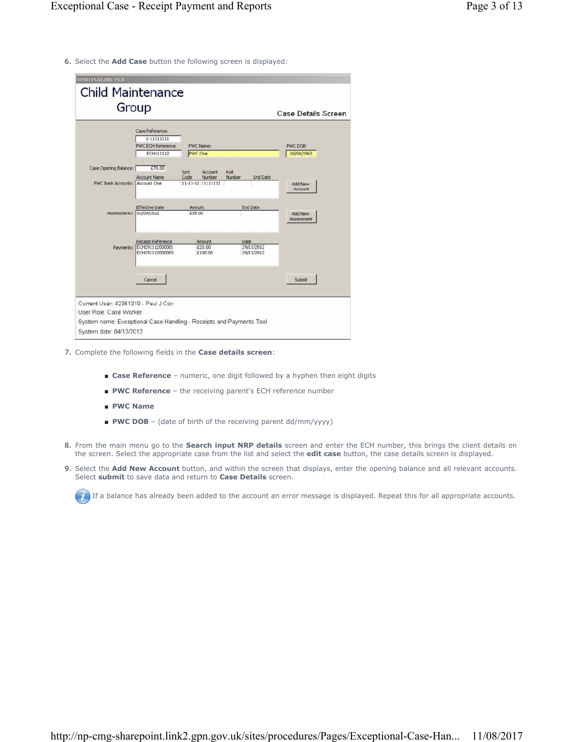6. Select the **Add Case** button the following screen is displayed:

| Group<br>Case Reference:<br>1-11111111<br><b>PWC ECH Reference</b><br>PWC Name:<br>PWC DOB:<br><b>PWC One</b><br>ECH111112<br>26/04/1963<br>Case Opening Balance:<br>£70.00<br>Sort<br><b>Account</b><br>Roll<br><b>Account Name</b><br>Number<br><b>End Date</b><br>Code<br>Number<br>11-11-11 11111111<br>PWC Bank Accounts: Account One<br><b>Add New</b><br>Account<br><b>Effective Date</b><br><b>End Date</b><br>Amount<br>Assessments: 01/09/2012<br>£35.00<br>Add New<br>Assessment<br>Receipt Reference<br>Amount<br><b>Date</b><br>Payments: ECH291112000001<br>29/11/2012<br>£20.00<br>ECH291112000003<br>£100.00<br>29/11/2012<br>Submit<br>Cancel | Case Details Screen | <b>Child Maintenance</b> |  |  |  |
|----------------------------------------------------------------------------------------------------------------------------------------------------------------------------------------------------------------------------------------------------------------------------------------------------------------------------------------------------------------------------------------------------------------------------------------------------------------------------------------------------------------------------------------------------------------------------------------------------------------------------------------------------------------|---------------------|--------------------------|--|--|--|
|                                                                                                                                                                                                                                                                                                                                                                                                                                                                                                                                                                                                                                                                |                     |                          |  |  |  |
|                                                                                                                                                                                                                                                                                                                                                                                                                                                                                                                                                                                                                                                                |                     |                          |  |  |  |
|                                                                                                                                                                                                                                                                                                                                                                                                                                                                                                                                                                                                                                                                |                     |                          |  |  |  |
|                                                                                                                                                                                                                                                                                                                                                                                                                                                                                                                                                                                                                                                                |                     |                          |  |  |  |
|                                                                                                                                                                                                                                                                                                                                                                                                                                                                                                                                                                                                                                                                |                     |                          |  |  |  |
|                                                                                                                                                                                                                                                                                                                                                                                                                                                                                                                                                                                                                                                                |                     |                          |  |  |  |
|                                                                                                                                                                                                                                                                                                                                                                                                                                                                                                                                                                                                                                                                |                     |                          |  |  |  |
|                                                                                                                                                                                                                                                                                                                                                                                                                                                                                                                                                                                                                                                                |                     |                          |  |  |  |
|                                                                                                                                                                                                                                                                                                                                                                                                                                                                                                                                                                                                                                                                |                     |                          |  |  |  |
|                                                                                                                                                                                                                                                                                                                                                                                                                                                                                                                                                                                                                                                                |                     |                          |  |  |  |
|                                                                                                                                                                                                                                                                                                                                                                                                                                                                                                                                                                                                                                                                |                     |                          |  |  |  |
|                                                                                                                                                                                                                                                                                                                                                                                                                                                                                                                                                                                                                                                                |                     |                          |  |  |  |
|                                                                                                                                                                                                                                                                                                                                                                                                                                                                                                                                                                                                                                                                |                     |                          |  |  |  |
|                                                                                                                                                                                                                                                                                                                                                                                                                                                                                                                                                                                                                                                                |                     |                          |  |  |  |
|                                                                                                                                                                                                                                                                                                                                                                                                                                                                                                                                                                                                                                                                |                     |                          |  |  |  |
|                                                                                                                                                                                                                                                                                                                                                                                                                                                                                                                                                                                                                                                                |                     |                          |  |  |  |
|                                                                                                                                                                                                                                                                                                                                                                                                                                                                                                                                                                                                                                                                |                     |                          |  |  |  |
|                                                                                                                                                                                                                                                                                                                                                                                                                                                                                                                                                                                                                                                                |                     |                          |  |  |  |
| Current User: 42361310 - Paul J Cox                                                                                                                                                                                                                                                                                                                                                                                                                                                                                                                                                                                                                            |                     |                          |  |  |  |
| User Role: Case Worker                                                                                                                                                                                                                                                                                                                                                                                                                                                                                                                                                                                                                                         |                     |                          |  |  |  |

- 7. Complete the following fields in the **Case details screen**:
	- **Case Reference** numeric, one digit followed by a hyphen then eight digits
	- **PWC Reference** the receiving parent's ECH reference number
	- **PWC Name**
	- **PWC DOB** (date of birth of the receiving parent dd/mm/yyyy)
- From the main menu go to the **Search input NRP details** screen and enter the ECH number, this brings the client details on the screen. Select the appropriate case from the list and select the **edit case** button, the case details screen is displayed. 8.
- 9. Select the **Add New Account** button, and within the screen that displays, enter the opening balance and all relevant accounts. Select **submit** to save data and return to **Case Details** screen.

If a balance has already been added to the account an error message is displayed. Repeat this for all appropriate accounts.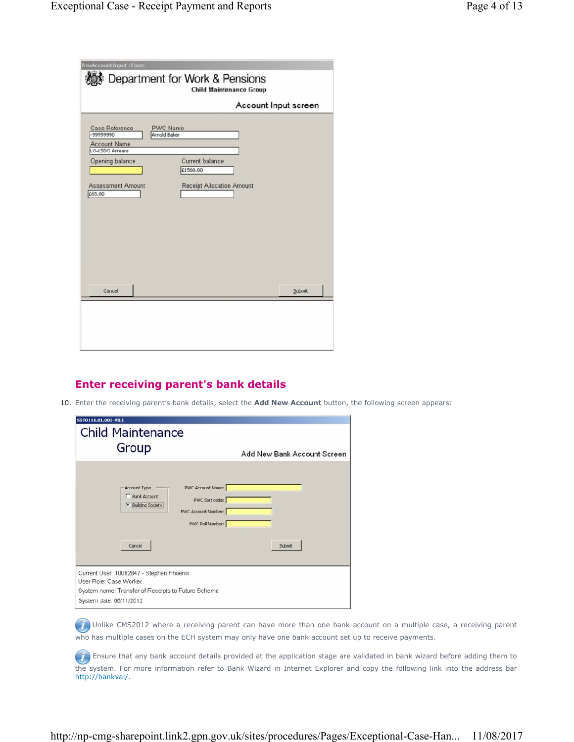| frmAccountInput: Form                              | Department for Work & Pensions<br><b>Child Maintenance Group</b> |
|----------------------------------------------------|------------------------------------------------------------------|
|                                                    | Account Input screen                                             |
| Case Reference<br>-99999990<br><b>Account Name</b> | <b>PWC Name</b><br>Arnold Baker                                  |
| LO-LSDO Arrears<br>Opening balance                 | Current balance<br>£1560.00                                      |
| <b>Assessment Amount</b><br>£65.00                 | <b>Receipt Allocation Amount</b>                                 |
| Cancel                                             | Submit                                                           |
|                                                    |                                                                  |

# **Enter receiving parent's bank details**

10. Enter the receiving parent's bank details, select the **Add New Account** button, the following screen appears:

| SST0116.01.001-V0.1<br><b>Child Maintenance</b><br>Group                                                                                                       | Add New Bank Account Screen |
|----------------------------------------------------------------------------------------------------------------------------------------------------------------|-----------------------------|
| PWC Account Name:<br>Account Type<br>C Bank Account<br>PWC Sort code:<br><b><i>C</i></b> Building Society<br>PWC Account Number:<br>PWC Roll Number:<br>Cancel | Submit                      |
| Current User: 10062847 - Stephen Phoenix<br>User Role: Case Worker                                                                                             |                             |
| System name: Transfer of Receipts to Future Scheme<br>System date: 06/11/2012                                                                                  |                             |

(iii) Unlike CMS2012 where a receiving parent can have more than one bank account on a multiple case, a receiving parent who has multiple cases on the ECH system may only have one bank account set up to receive payments.

**(7)** Ensure that any bank account details provided at the application stage are validated in bank wizard before adding them to the system. For more information refer to Bank Wizard in Internet Explorer and copy the following link into the address bar http://bankval/.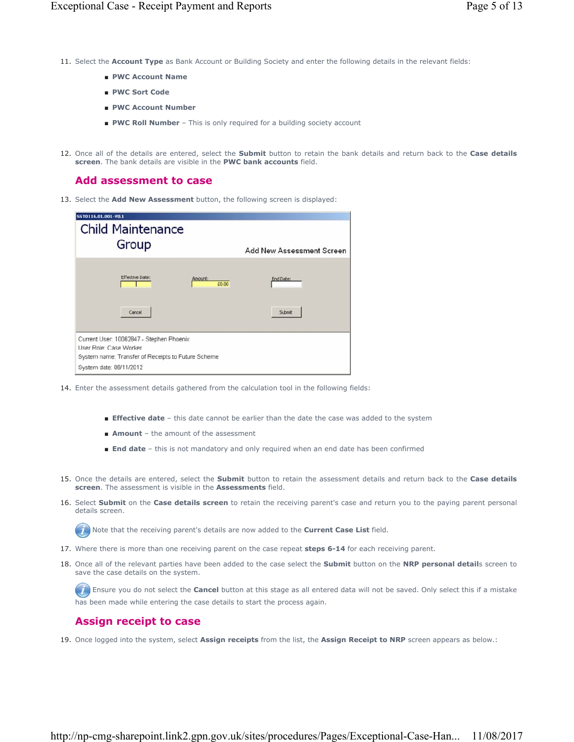- 11. Select the Account Type as Bank Account or Building Society and enter the following details in the relevant fields:
	- **PWC Account Name**
	- **PWC Sort Code**
	- **PWC Account Number**
	- **PWC Roll Number** This is only required for a building society account
- 12. Once all of the details are entered, select the **Submit** button to retain the bank details and return back to the Case details **screen**. The bank details are visible in the **PWC bank accounts** field.

# **Add assessment to case**

13. Select the **Add New Assessment** button, the following screen is displayed:

| SST0116.01.001-V0.1<br><b>Child Maintenance</b><br>Group                                                                                            | <b>Add New Assessment Screen</b> |
|-----------------------------------------------------------------------------------------------------------------------------------------------------|----------------------------------|
| Effective Date:<br>Amount:                                                                                                                          | End Date:<br>£0.00               |
| Cancel                                                                                                                                              | Submit                           |
| Current User. 10062847 - Stephen Phoenix<br>User Role: Case Worker<br>System name: Transfer of Receipts to Future Scheme<br>System date: 06/11/2012 |                                  |

- 14. Enter the assessment details gathered from the calculation tool in the following fields:
	- **Effective date** this date cannot be earlier than the date the case was added to the system
	- **Amount** the amount of the assessment
	- **End date** this is not mandatory and only required when an end date has been confirmed
- 15. Once the details are entered, select the **Submit** button to retain the assessment details and return back to the Case details **screen**. The assessment is visible in the **Assessments** field.
- 16. Select **Submit** on the **Case details screen** to retain the receiving parent's case and return you to the paying parent personal details screen.

Note that the receiving parent's details are now added to the **Current Case List** field.

- 17. Where there is more than one receiving parent on the case repeat **steps 6-14** for each receiving parent.
- 18. Once all of the relevant parties have been added to the case select the **Submit** button on the NRP personal details screen to save the case details on the system.

Ensure you do not select the **Cancel** button at this stage as all entered data will not be saved. Only select this if a mistake has been made while entering the case details to start the process again.

# **Assign receipt to case**

19. Once logged into the system, select **Assign receipts** from the list, the **Assign Receipt to NRP** screen appears as below.: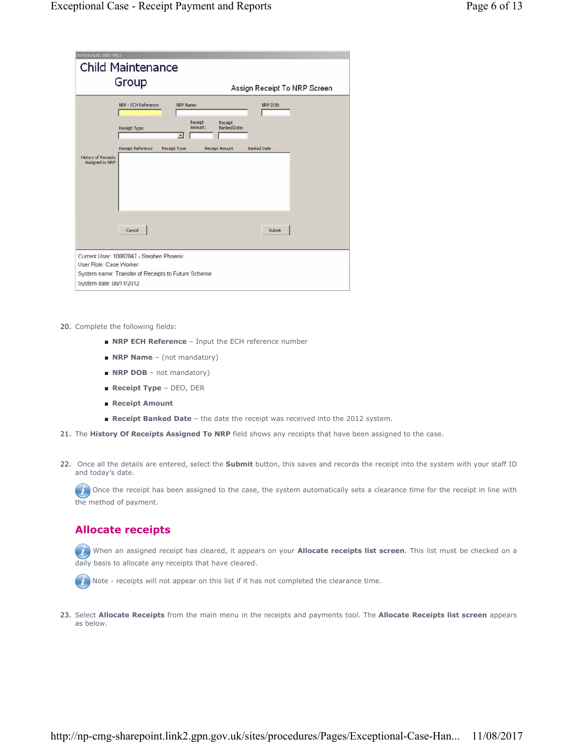| 55T0116.01.001-V0.1        |                                                    |                                                                                  |                              |
|----------------------------|----------------------------------------------------|----------------------------------------------------------------------------------|------------------------------|
|                            | <b>Child Maintenance</b>                           |                                                                                  |                              |
|                            |                                                    |                                                                                  |                              |
|                            | Group                                              |                                                                                  | Assign Receipt To NRP Screen |
|                            | NRP - ECH Reference:                               | NRP Name:                                                                        | NRP DOB:                     |
|                            | Receipt Type:                                      | Receipt<br>Receipt<br>Amount:<br><b>Banked Date:</b><br>$\overline{\mathcal{L}}$ |                              |
| <b>History of Receipts</b> | Receipt Reference                                  | Receipt Type<br>Receipt Amount                                                   | <b>Banked Date</b>           |
| Assigned to NRP:           |                                                    |                                                                                  |                              |
|                            |                                                    |                                                                                  |                              |
|                            |                                                    |                                                                                  |                              |
|                            | Cancel                                             |                                                                                  | Submit                       |
|                            |                                                    |                                                                                  |                              |
|                            | Current User: 10062847 - Stephen Phoenix           |                                                                                  |                              |
| User Role: Case Worker     |                                                    |                                                                                  |                              |
|                            | System name: Transfer of Receipts to Future Scheme |                                                                                  |                              |
| System date: 06/11/2012    |                                                    |                                                                                  |                              |

#### 20. Complete the following fields:

- **NRP ECH Reference** Input the ECH reference number
- **NRP Name** (not mandatory)
- **NRP DOB** not mandatory)
- **Receipt Type**  DEO, DER
- **Receipt Amount**
- **Receipt Banked Date**  the date the receipt was received into the 2012 system.
- 21. The **History Of Receipts Assigned To NRP** field shows any receipts that have been assigned to the case.
- 22. Once all the details are entered, select the **Submit** button, this saves and records the receipt into the system with your staff ID and today's date.

 $\bullet$  Once the receipt has been assigned to the case, the system automatically sets a clearance time for the receipt in line with the method of payment.

# **Allocate receipts**

When an assigned receipt has cleared, it appears on your **Allocate receipts list screen**. This list must be checked on a daily basis to allocate any receipts that have cleared.



 $\left(\overrightarrow{i}\right)$  Note - receipts will not appear on this list if it has not completed the clearance time.

23. Select **Allocate Receipts** from the main menu in the receipts and payments tool. The **Allocate Receipts list screen** appears as below.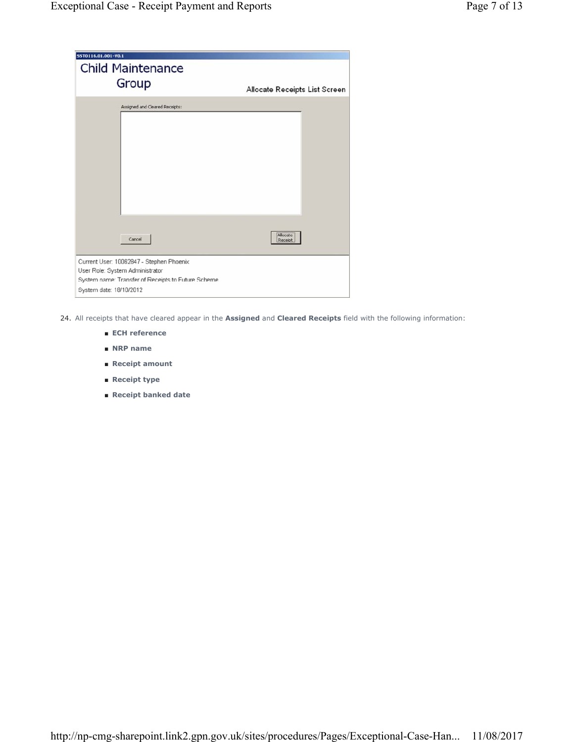| SST0116.01.001-V0.1<br><b>Child Maintenance</b>    |                               |
|----------------------------------------------------|-------------------------------|
| Group                                              | Allocate Receipts List Screen |
| Assigned and Cleared Receipts:                     |                               |
|                                                    |                               |
|                                                    |                               |
|                                                    |                               |
|                                                    |                               |
|                                                    |                               |
|                                                    |                               |
|                                                    |                               |
| Cancel                                             | Allocate<br>Receipt           |
| Current User: 10062847 - Stephen Phoenix           |                               |
| User Role: System Administrator                    |                               |
| System name: Transfer of Receipts to Future Scheme |                               |
| System date: 18/10/2012                            |                               |

24. All receipts that have cleared appear in the **Assigned** and **Cleared Receipts** field with the following information:

- **ECH reference**
- **NRP name**
- **Receipt amount**
- **Receipt type**
- **Receipt banked date**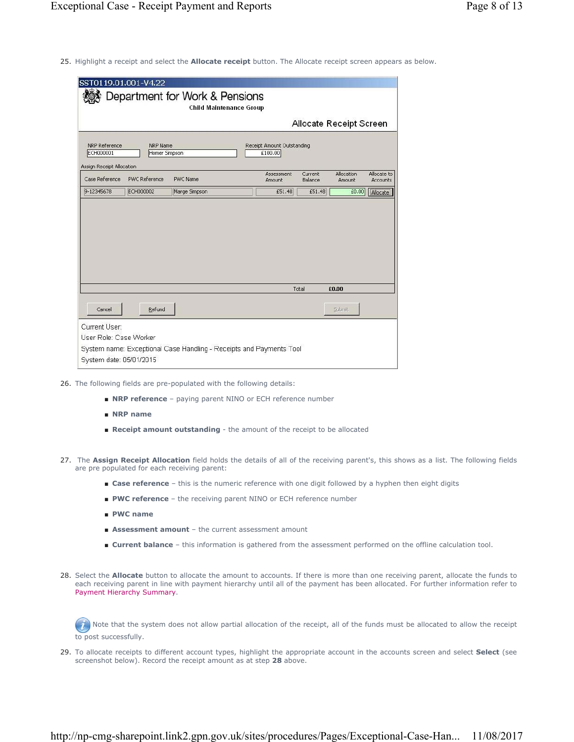25. Highlight a receipt and select the **Allocate receipt** button. The Allocate receipt screen appears as below.

| SST0119.01.001-V4.22                                                  |                                  | Department for Work & Pensions<br><b>Child Maintenance Group</b>    |                                       |                    |                         |                         |
|-----------------------------------------------------------------------|----------------------------------|---------------------------------------------------------------------|---------------------------------------|--------------------|-------------------------|-------------------------|
|                                                                       |                                  |                                                                     |                                       |                    | Allocate Receipt Screen |                         |
| <b>NRP Reference</b><br><b>ECH000001</b><br>Assign Receipt Allocation | <b>NRP Name</b><br>Homer Simpson |                                                                     | Receipt Amount Outstanding<br>£100.00 |                    |                         |                         |
| Case Reference                                                        | <b>PWC Reference</b>             | <b>PWC Name</b>                                                     | Assessment<br>Amount                  | Current<br>Balance | Allocation<br>Amount    | Allocate to<br>Accounts |
| 9-12345678                                                            | ECH000002                        | Marge Simpson                                                       | £51.48                                | £51.48             | £0.00                   | Allocate                |
|                                                                       |                                  |                                                                     |                                       |                    |                         |                         |
|                                                                       |                                  |                                                                     |                                       | Total              | £0.00                   |                         |
| Cancel                                                                | Refund                           |                                                                     |                                       |                    | <b>Submit</b>           |                         |
| Current User:<br>User Role: Case Worker<br>System date: 05/01/2015    |                                  | System name: Exceptional Case Handling - Receipts and Payments Tool |                                       |                    |                         |                         |

- 26. The following fields are pre-populated with the following details:
	- **NRP reference** paying parent NINO or ECH reference number
	- **NRP name**
	- **Receipt amount outstanding** the amount of the receipt to be allocated
- 27. The **Assign Receipt Allocation** field holds the details of all of the receiving parent's, this shows as a list. The following fields are pre populated for each receiving parent:
	- **Case reference** this is the numeric reference with one digit followed by a hyphen then eight digits
	- PWC reference the receiving parent NINO or ECH reference number
	- **PWC name**
	- **Assessment amount** the current assessment amount
	- **Current balance** this information is gathered from the assessment performed on the offline calculation tool.
- 28. Select the **Allocate** button to allocate the amount to accounts. If there is more than one receiving parent, allocate the funds to each receiving parent in line with payment hierarchy until all of the payment has been allocated. For further information refer to Payment Hierarchy Summary.

 $(n)$  Note that the system does not allow partial allocation of the receipt, all of the funds must be allocated to allow the receipt to post successfully.

29. To allocate receipts to different account types, highlight the appropriate account in the accounts screen and select Select (see screenshot below). Record the receipt amount as at step **28** above.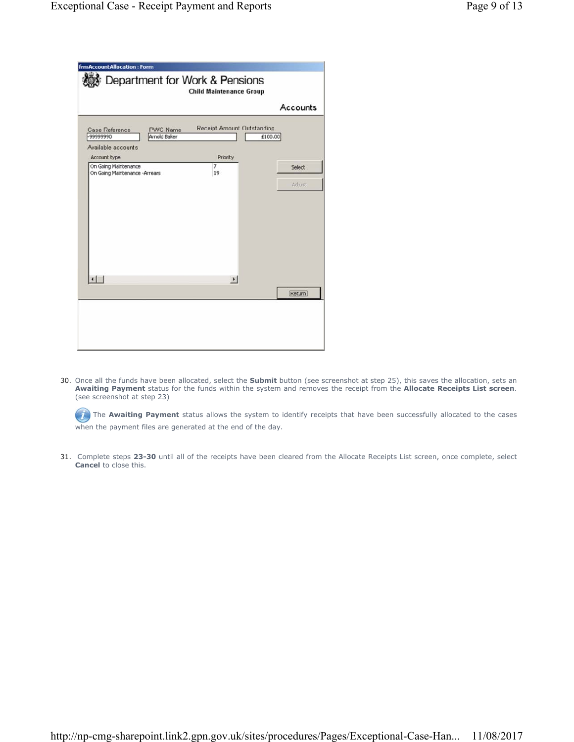| <b>frmAccountAllocation: Form</b>                      |                                 | Department for Work & Pensions<br><b>Child Maintenance Group</b> |          |
|--------------------------------------------------------|---------------------------------|------------------------------------------------------------------|----------|
|                                                        |                                 |                                                                  | Accounts |
| Case Reference<br>-9999990                             | <b>PWC Name</b><br>Arnold Baker | <b>Receipt Amount Outstanding</b>                                | £100.00  |
| Available accounts<br>Account type                     |                                 | Priority                                                         |          |
| On Going Maintenance<br>On Going Maintenance - Arrears |                                 | $\overline{7}$<br>19                                             | Select   |
|                                                        |                                 |                                                                  | Adjust   |
|                                                        |                                 |                                                                  |          |
|                                                        |                                 |                                                                  |          |
|                                                        |                                 |                                                                  |          |
|                                                        |                                 |                                                                  |          |
| $\left  \cdot \right $                                 |                                 | $\mathbf{E}$                                                     |          |
|                                                        |                                 |                                                                  | Return   |
|                                                        |                                 |                                                                  |          |
|                                                        |                                 |                                                                  |          |
|                                                        |                                 |                                                                  |          |
|                                                        |                                 |                                                                  |          |

30. Once all the funds have been allocated, select the Submit button (see screenshot at step 25), this saves the allocation, sets an **Awaiting Payment** status for the funds within the system and removes the receipt from the **Allocate Receipts List screen**. (see screenshot at step 23)

The **Awaiting Payment** status allows the system to identify receipts that have been successfully allocated to the cases when the payment files are generated at the end of the day.

31. Complete steps 23-30 until all of the receipts have been cleared from the Allocate Receipts List screen, once complete, select **Cancel** to close this.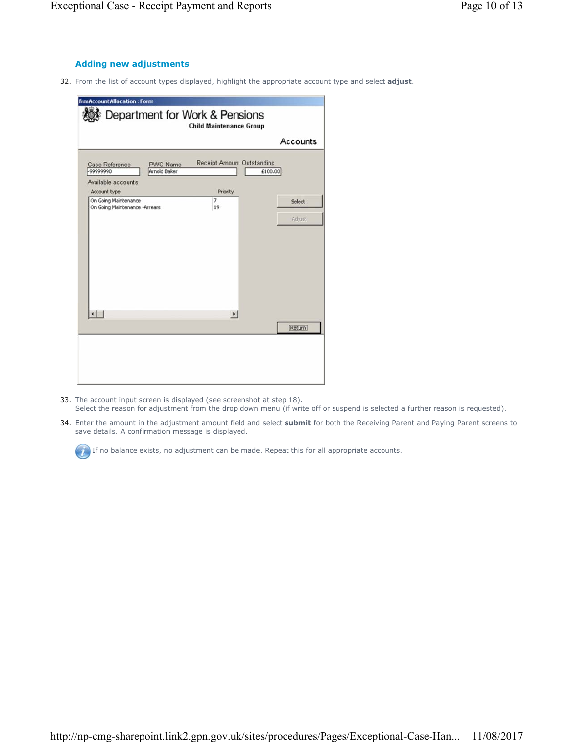### **Adding new adjustments**

32. From the list of account types displayed, highlight the appropriate account type and select **adjust**.

|                                                       |                                 |                                   | Accounts      |
|-------------------------------------------------------|---------------------------------|-----------------------------------|---------------|
| Case Reference<br>-99999990                           | <b>PWC Name</b><br>Arnold Baker | <b>Receipt Amount Outstanding</b> | £100.00       |
| Available accounts<br>Account type                    |                                 | Priority                          |               |
| On Going Maintenance<br>On Going Maintenance -Arrears |                                 | $\overline{\phantom{a}}$<br>19    | Select        |
|                                                       |                                 |                                   | <b>Adjust</b> |
|                                                       |                                 |                                   |               |
|                                                       |                                 |                                   |               |
|                                                       |                                 |                                   |               |
|                                                       |                                 |                                   |               |
|                                                       |                                 |                                   |               |
|                                                       |                                 |                                   |               |
| $\lnot$                                               |                                 | $\mathbf{E}$                      |               |
|                                                       |                                 |                                   | Return        |

- 33. The account input screen is displayed (see screenshot at step 18). Select the reason for adjustment from the drop down menu (if write off or suspend is selected a further reason is requested).
- 34. Enter the amount in the adjustment amount field and select submit for both the Receiving Parent and Paying Parent screens to save details. A confirmation message is displayed.

If no balance exists, no adjustment can be made. Repeat this for all appropriate accounts.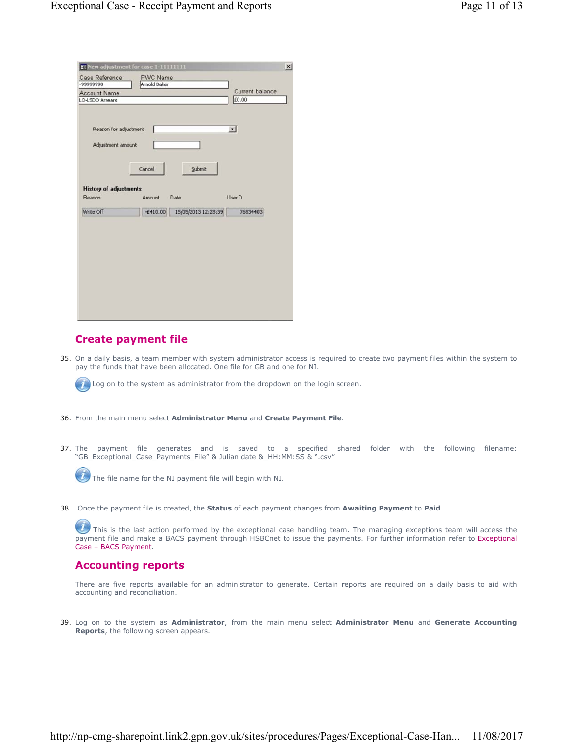|                                            | E New adjustment for case 1-11111111 |                 | × |
|--------------------------------------------|--------------------------------------|-----------------|---|
| Case Reference                             | PWC Name                             |                 |   |
| -99999990                                  | Arnold Baker                         |                 |   |
| <b>Account Name</b>                        |                                      | Current balance |   |
| <b>LO-LSDO Arrears</b>                     |                                      | £0.00           |   |
| Reason for adjustment<br>Adjustment amount | Cancel<br>Submit                     | $\bullet$       |   |
| <b>History of adjustments</b>              |                                      |                 |   |
| Reason                                     | Date<br>Amount                       | <b>UsedD</b>    |   |
| Write Off                                  | 15/05/2013 12:28:39<br>$-£410.00$    | 76834403        |   |
|                                            |                                      |                 |   |
|                                            |                                      |                 |   |
|                                            |                                      |                 |   |
|                                            |                                      |                 |   |
|                                            |                                      |                 |   |
|                                            |                                      |                 |   |
|                                            |                                      |                 |   |
|                                            |                                      |                 |   |
|                                            |                                      |                 |   |
|                                            |                                      |                 |   |
|                                            |                                      |                 |   |

# **Create payment file**

35. On a daily basis, a team member with system administrator access is required to create two payment files within the system to pay the funds that have been allocated. One file for GB and one for NI.



Log on to the system as administrator from the dropdown on the login screen.

- 36. From the main menu select **Administrator Menu** and **Create Payment File**.
- 37. The payment file generates and is saved to a specified shared folder with the following filename: "GB\_Exceptional\_Case\_Payments\_File" & Julian date &\_HH:MM:SS & ".csv"



The file name for the NI payment file will begin with NI.

38. Once the payment file is created, the **Status** of each payment changes from **Awaiting Payment** to **Paid**.

This is the last action performed by the exceptional case handling team. The managing exceptions team will access the payment file and make a BACS payment through HSBCnet to issue the payments. For further information refer to Exceptional Case – BACS Payment.

# **Accounting reports**

There are five reports available for an administrator to generate. Certain reports are required on a daily basis to aid with accounting and reconciliation.

Log on to the system as **Administrator**, from the main menu select **Administrator Menu** and **Generate Accounting**  39. **Reports**, the following screen appears.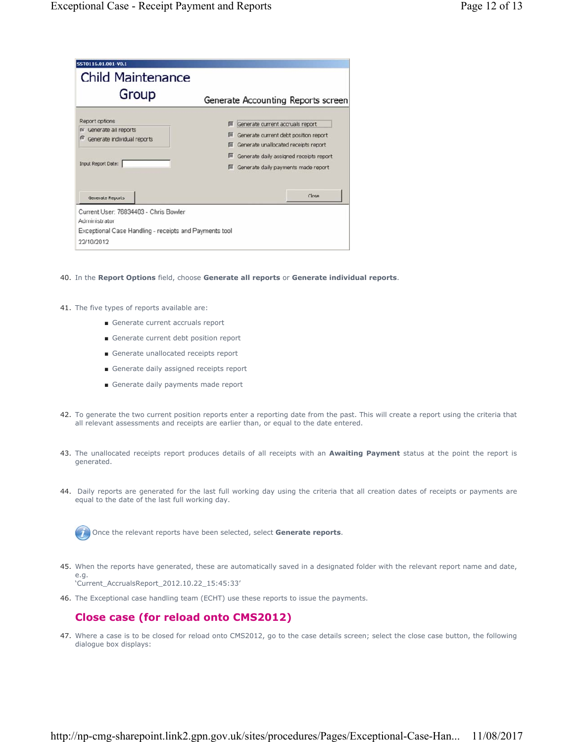| Group                                                                                                 | Generate Accounting Reports screen                                                                                                                                                                               |
|-------------------------------------------------------------------------------------------------------|------------------------------------------------------------------------------------------------------------------------------------------------------------------------------------------------------------------|
| Report options<br>Generate all reports<br>G<br>Generate individual reports<br>ø<br>Input Report Date: | F Generate current accruals report<br>匪<br>Generate current debt position report<br>□ Generate unallocated receipts report<br>Generate daily assigned receipts report<br>Filiconerate daily payments made report |
| Generate Reports                                                                                      | Close                                                                                                                                                                                                            |
| Current User: 76834403 - Chris Bowler<br>Administrator                                                |                                                                                                                                                                                                                  |
| Exceptional Case Handling - receipts and Payments tool                                                |                                                                                                                                                                                                                  |
| 22/10/2012                                                                                            |                                                                                                                                                                                                                  |

- 40. In the **Report Options** field, choose **Generate all reports** or **Generate individual reports**.
- 41. The five types of reports available are:
	- Generate current accruals report
	- Generate current debt position report
	- Generate unallocated receipts report
	- Generate daily assigned receipts report
	- Generate daily payments made report
- 42. To generate the two current position reports enter a reporting date from the past. This will create a report using the criteria that all relevant assessments and receipts are earlier than, or equal to the date entered.
- 43. The unallocated receipts report produces details of all receipts with an **Awaiting Payment** status at the point the report is generated.
- 44. Daily reports are generated for the last full working day using the criteria that all creation dates of receipts or payments are equal to the date of the last full working day.

Once the relevant reports have been selected, select **Generate reports**.

- When the reports have generated, these are automatically saved in a designated folder with the relevant report name and date, 45. e.g. 'Current\_AccrualsReport\_2012.10.22\_15:45:33'
- 46. The Exceptional case handling team (ECHT) use these reports to issue the payments.

# **Close case (for reload onto CMS2012)**

Where a case is to be closed for reload onto CMS2012, go to the case details screen; select the close case button, the following 47. dialogue box displays: